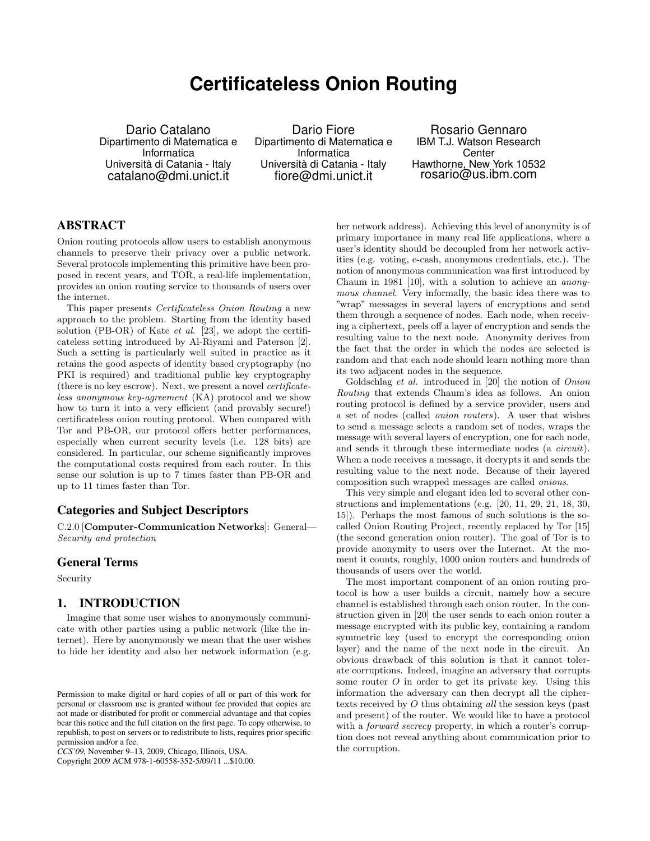# **Certificateless Onion Routing**

Dario Catalano Dipartimento di Matematica e Informatica Università di Catania - Italy catalano@dmi.unict.it

Dario Fiore Dipartimento di Matematica e Informatica Università di Catania - Italy fiore@dmi.unict.it

Rosario Gennaro IBM T.J. Watson Research Center Hawthorne, New York 10532 rosario@us.ibm.com

# ABSTRACT

Onion routing protocols allow users to establish anonymous channels to preserve their privacy over a public network. Several protocols implementing this primitive have been proposed in recent years, and TOR, a real-life implementation, provides an onion routing service to thousands of users over the internet.

This paper presents Certificateless Onion Routing a new approach to the problem. Starting from the identity based solution (PB-OR) of Kate et al. [23], we adopt the certificateless setting introduced by Al-Riyami and Paterson [2]. Such a setting is particularly well suited in practice as it retains the good aspects of identity based cryptography (no PKI is required) and traditional public key cryptography (there is no key escrow). Next, we present a novel certificateless anonymous key-agreement (KA) protocol and we show how to turn it into a very efficient (and provably secure!) certificateless onion routing protocol. When compared with Tor and PB-OR, our protocol offers better performances, especially when current security levels (i.e. 128 bits) are considered. In particular, our scheme significantly improves the computational costs required from each router. In this sense our solution is up to 7 times faster than PB-OR and up to 11 times faster than Tor.

# Categories and Subject Descriptors

C.2.0 [Computer-Communication Networks]: General— Security and protection

#### General Terms

Security

### 1. INTRODUCTION

Imagine that some user wishes to anonymously communicate with other parties using a public network (like the internet). Here by anonymously we mean that the user wishes to hide her identity and also her network information (e.g.

Copyright 2009 ACM 978-1-60558-352-5/09/11 ...\$10.00.

her network address). Achieving this level of anonymity is of primary importance in many real life applications, where a user's identity should be decoupled from her network activities (e.g. voting, e-cash, anonymous credentials, etc.). The notion of anonymous communication was first introduced by Chaum in 1981 [10], with a solution to achieve an anonymous channel. Very informally, the basic idea there was to "wrap" messages in several layers of encryptions and send them through a sequence of nodes. Each node, when receiving a ciphertext, peels off a layer of encryption and sends the resulting value to the next node. Anonymity derives from the fact that the order in which the nodes are selected is random and that each node should learn nothing more than its two adjacent nodes in the sequence.

Goldschlag et al. introduced in [20] the notion of Onion Routing that extends Chaum's idea as follows. An onion routing protocol is defined by a service provider, users and a set of nodes (called onion routers). A user that wishes to send a message selects a random set of nodes, wraps the message with several layers of encryption, one for each node, and sends it through these intermediate nodes (a circuit). When a node receives a message, it decrypts it and sends the resulting value to the next node. Because of their layered composition such wrapped messages are called onions.

This very simple and elegant idea led to several other constructions and implementations (e.g. [20, 11, 29, 21, 18, 30, 15]). Perhaps the most famous of such solutions is the socalled Onion Routing Project, recently replaced by Tor [15] (the second generation onion router). The goal of Tor is to provide anonymity to users over the Internet. At the moment it counts, roughly, 1000 onion routers and hundreds of thousands of users over the world.

The most important component of an onion routing protocol is how a user builds a circuit, namely how a secure channel is established through each onion router. In the construction given in [20] the user sends to each onion router a message encrypted with its public key, containing a random symmetric key (used to encrypt the corresponding onion layer) and the name of the next node in the circuit. An obvious drawback of this solution is that it cannot tolerate corruptions. Indeed, imagine an adversary that corrupts some router  $O$  in order to get its private key. Using this information the adversary can then decrypt all the ciphertexts received by O thus obtaining all the session keys (past and present) of the router. We would like to have a protocol with a *forward secrecy* property, in which a router's corruption does not reveal anything about communication prior to the corruption.

Permission to make digital or hard copies of all or part of this work for personal or classroom use is granted without fee provided that copies are not made or distributed for profit or commercial advantage and that copies bear this notice and the full citation on the first page. To copy otherwise, to republish, to post on servers or to redistribute to lists, requires prior specific permission and/or a fee.

*CCS'09,* November 9–13, 2009, Chicago, Illinois, USA.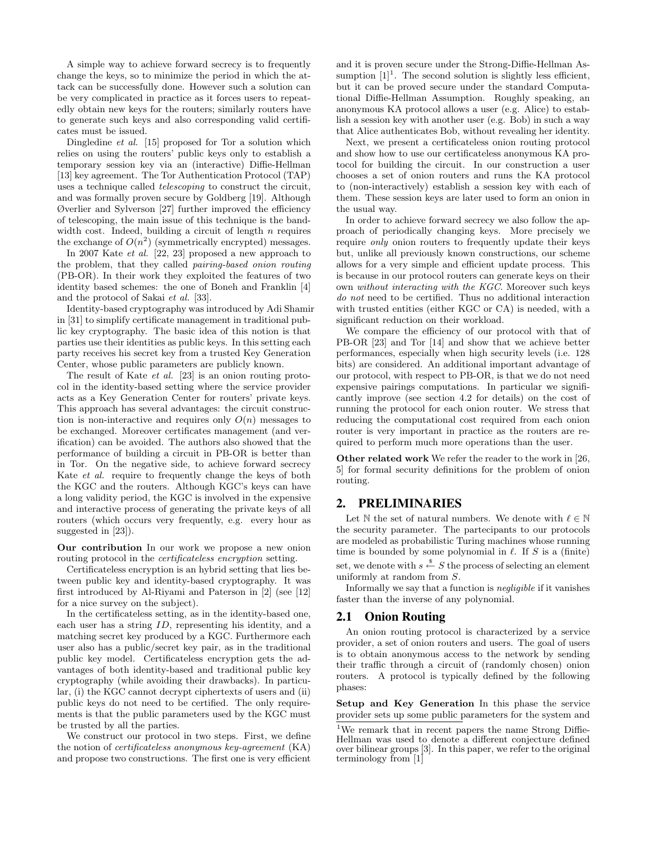A simple way to achieve forward secrecy is to frequently change the keys, so to minimize the period in which the attack can be successfully done. However such a solution can be very complicated in practice as it forces users to repeatedly obtain new keys for the routers; similarly routers have to generate such keys and also corresponding valid certificates must be issued.

Dingledine *et al.* [15] proposed for Tor a solution which relies on using the routers' public keys only to establish a temporary session key via an (interactive) Diffie-Hellman [13] key agreement. The Tor Authentication Protocol (TAP) uses a technique called telescoping to construct the circuit, and was formally proven secure by Goldberg [19]. Although Øverlier and Sylverson [27] further improved the efficiency of telescoping, the main issue of this technique is the bandwidth cost. Indeed, building a circuit of length  $n$  requires the exchange of  $O(n^2)$  (symmetrically encrypted) messages.

In 2007 Kate et al. [22, 23] proposed a new approach to the problem, that they called pairing-based onion routing (PB-OR). In their work they exploited the features of two identity based schemes: the one of Boneh and Franklin [4] and the protocol of Sakai et al. [33].

Identity-based cryptography was introduced by Adi Shamir in [31] to simplify certificate management in traditional public key cryptography. The basic idea of this notion is that parties use their identities as public keys. In this setting each party receives his secret key from a trusted Key Generation Center, whose public parameters are publicly known.

The result of Kate *et al.* [23] is an onion routing protocol in the identity-based setting where the service provider acts as a Key Generation Center for routers' private keys. This approach has several advantages: the circuit construction is non-interactive and requires only  $O(n)$  messages to be exchanged. Moreover certificates management (and verification) can be avoided. The authors also showed that the performance of building a circuit in PB-OR is better than in Tor. On the negative side, to achieve forward secrecy Kate et al. require to frequently change the keys of both the KGC and the routers. Although KGC's keys can have a long validity period, the KGC is involved in the expensive and interactive process of generating the private keys of all routers (which occurs very frequently, e.g. every hour as suggested in [23]).

Our contribution In our work we propose a new onion routing protocol in the certificateless encryption setting.

Certificateless encryption is an hybrid setting that lies between public key and identity-based cryptography. It was first introduced by Al-Riyami and Paterson in [2] (see [12] for a nice survey on the subject).

In the certificateless setting, as in the identity-based one, each user has a string ID, representing his identity, and a matching secret key produced by a KGC. Furthermore each user also has a public/secret key pair, as in the traditional public key model. Certificateless encryption gets the advantages of both identity-based and traditional public key cryptography (while avoiding their drawbacks). In particular, (i) the KGC cannot decrypt ciphertexts of users and (ii) public keys do not need to be certified. The only requirements is that the public parameters used by the KGC must be trusted by all the parties.

We construct our protocol in two steps. First, we define the notion of certificateless anonymous key-agreement (KA) and propose two constructions. The first one is very efficient and it is proven secure under the Strong-Diffie-Hellman Assumption  $[1]^1$ . The second solution is slightly less efficient, but it can be proved secure under the standard Computational Diffie-Hellman Assumption. Roughly speaking, an anonymous KA protocol allows a user (e.g. Alice) to establish a session key with another user (e.g. Bob) in such a way that Alice authenticates Bob, without revealing her identity.

Next, we present a certificateless onion routing protocol and show how to use our certificateless anonymous KA protocol for building the circuit. In our construction a user chooses a set of onion routers and runs the KA protocol to (non-interactively) establish a session key with each of them. These session keys are later used to form an onion in the usual way.

In order to achieve forward secrecy we also follow the approach of periodically changing keys. More precisely we require only onion routers to frequently update their keys but, unlike all previously known constructions, our scheme allows for a very simple and efficient update process. This is because in our protocol routers can generate keys on their own without interacting with the KGC. Moreover such keys do not need to be certified. Thus no additional interaction with trusted entities (either KGC or CA) is needed, with a significant reduction on their workload.

We compare the efficiency of our protocol with that of PB-OR [23] and Tor [14] and show that we achieve better performances, especially when high security levels (i.e. 128 bits) are considered. An additional important advantage of our protocol, with respect to PB-OR, is that we do not need expensive pairings computations. In particular we significantly improve (see section 4.2 for details) on the cost of running the protocol for each onion router. We stress that reducing the computational cost required from each onion router is very important in practice as the routers are required to perform much more operations than the user.

Other related work We refer the reader to the work in [26, 5] for formal security definitions for the problem of onion routing.

## 2. PRELIMINARIES

Let  $\mathbb N$  the set of natural numbers. We denote with  $\ell \in \mathbb N$ the security parameter. The partecipants to our protocols are modeled as probabilistic Turing machines whose running time is bounded by some polynomial in  $\ell$ . If S is a (finite) set, we denote with  $s \stackrel{\$}{\leftarrow} S$  the process of selecting an element uniformly at random from S.

Informally we say that a function is negligible if it vanishes faster than the inverse of any polynomial.

#### 2.1 Onion Routing

An onion routing protocol is characterized by a service provider, a set of onion routers and users. The goal of users is to obtain anonymous access to the network by sending their traffic through a circuit of (randomly chosen) onion routers. A protocol is typically defined by the following phases:

Setup and Key Generation In this phase the service provider sets up some public parameters for the system and

<sup>&</sup>lt;sup>1</sup>We remark that in recent papers the name Strong Diffie-Hellman was used to denote a different conjecture defined over bilinear groups [3]. In this paper, we refer to the original terminology from [1]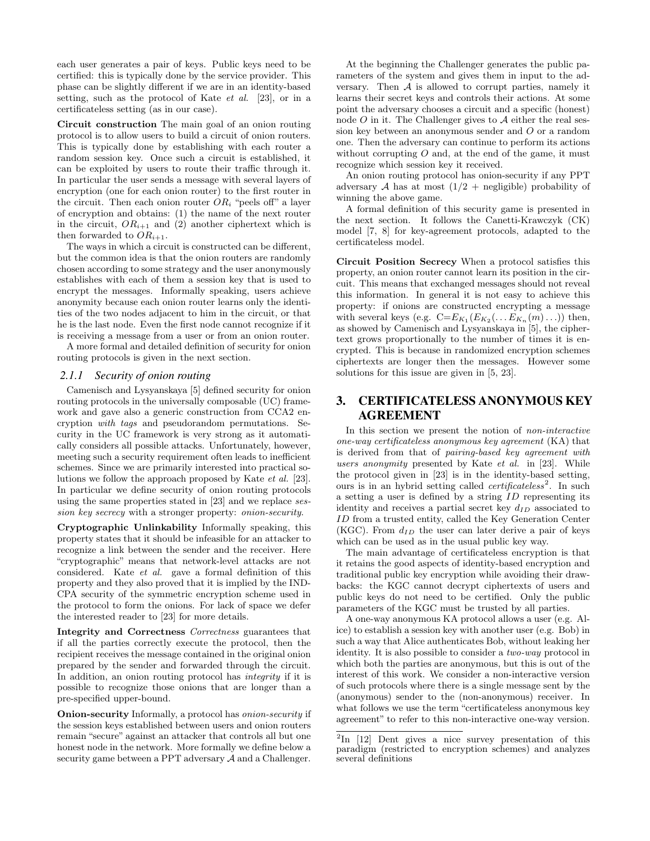each user generates a pair of keys. Public keys need to be certified: this is typically done by the service provider. This phase can be slightly different if we are in an identity-based setting, such as the protocol of Kate et al. [23], or in a certificateless setting (as in our case).

Circuit construction The main goal of an onion routing protocol is to allow users to build a circuit of onion routers. This is typically done by establishing with each router a random session key. Once such a circuit is established, it can be exploited by users to route their traffic through it. In particular the user sends a message with several layers of encryption (one for each onion router) to the first router in the circuit. Then each onion router  $OR_i$  "peels off" a layer of encryption and obtains: (1) the name of the next router in the circuit,  $OR_{i+1}$  and (2) another ciphertext which is then forwarded to  $OR_{i+1}$ .

The ways in which a circuit is constructed can be different, but the common idea is that the onion routers are randomly chosen according to some strategy and the user anonymously establishes with each of them a session key that is used to encrypt the messages. Informally speaking, users achieve anonymity because each onion router learns only the identities of the two nodes adjacent to him in the circuit, or that he is the last node. Even the first node cannot recognize if it is receiving a message from a user or from an onion router.

A more formal and detailed definition of security for onion routing protocols is given in the next section.

#### *2.1.1 Security of onion routing*

Camenisch and Lysyanskaya [5] defined security for onion routing protocols in the universally composable (UC) framework and gave also a generic construction from CCA2 encryption with tags and pseudorandom permutations. Security in the UC framework is very strong as it automatically considers all possible attacks. Unfortunately, however, meeting such a security requirement often leads to inefficient schemes. Since we are primarily interested into practical solutions we follow the approach proposed by Kate et al. [23]. In particular we define security of onion routing protocols using the same properties stated in [23] and we replace session key secrecy with a stronger property: onion-security.

Cryptographic Unlinkability Informally speaking, this property states that it should be infeasible for an attacker to recognize a link between the sender and the receiver. Here "cryptographic" means that network-level attacks are not considered. Kate et al. gave a formal definition of this property and they also proved that it is implied by the IND-CPA security of the symmetric encryption scheme used in the protocol to form the onions. For lack of space we defer the interested reader to [23] for more details.

Integrity and Correctness Correctness guarantees that if all the parties correctly execute the protocol, then the recipient receives the message contained in the original onion prepared by the sender and forwarded through the circuit. In addition, an onion routing protocol has integrity if it is possible to recognize those onions that are longer than a pre-specified upper-bound.

Onion-security Informally, a protocol has onion-security if the session keys established between users and onion routers remain "secure" against an attacker that controls all but one honest node in the network. More formally we define below a security game between a PPT adversary  $A$  and a Challenger.

At the beginning the Challenger generates the public parameters of the system and gives them in input to the adversary. Then  $A$  is allowed to corrupt parties, namely it learns their secret keys and controls their actions. At some point the adversary chooses a circuit and a specific (honest) node  $O$  in it. The Challenger gives to  $\mathcal A$  either the real session key between an anonymous sender and O or a random one. Then the adversary can continue to perform its actions without corrupting  $O$  and, at the end of the game, it must recognize which session key it received.

An onion routing protocol has onion-security if any PPT adversary  $A$  has at most  $(1/2 + \text{negligible})$  probability of winning the above game.

A formal definition of this security game is presented in the next section. It follows the Canetti-Krawczyk (CK) model [7, 8] for key-agreement protocols, adapted to the certificateless model.

Circuit Position Secrecy When a protocol satisfies this property, an onion router cannot learn its position in the circuit. This means that exchanged messages should not reveal this information. In general it is not easy to achieve this property: if onions are constructed encrypting a message with several keys (e.g.  $C=E_{K_1}(E_{K_2}(\ldots E_{K_n}(m)\ldots))$  then, as showed by Camenisch and Lysyanskaya in [5], the ciphertext grows proportionally to the number of times it is encrypted. This is because in randomized encryption schemes ciphertexts are longer then the messages. However some solutions for this issue are given in [5, 23].

# 3. CERTIFICATELESS ANONYMOUS KEY AGREEMENT

In this section we present the notion of non-interactive one-way certificateless anonymous key agreement (KA) that is derived from that of pairing-based key agreement with users anonymity presented by Kate et al. in [23]. While the protocol given in [23] is in the identity-based setting, ours is in an hybrid setting called *certificateless*<sup>2</sup>. In such a setting a user is defined by a string ID representing its identity and receives a partial secret key  $d_{ID}$  associated to ID from a trusted entity, called the Key Generation Center (KGC). From  $d_{ID}$  the user can later derive a pair of keys which can be used as in the usual public key way.

The main advantage of certificateless encryption is that it retains the good aspects of identity-based encryption and traditional public key encryption while avoiding their drawbacks: the KGC cannot decrypt ciphertexts of users and public keys do not need to be certified. Only the public parameters of the KGC must be trusted by all parties.

A one-way anonymous KA protocol allows a user (e.g. Alice) to establish a session key with another user (e.g. Bob) in such a way that Alice authenticates Bob, without leaking her identity. It is also possible to consider a two-way protocol in which both the parties are anonymous, but this is out of the interest of this work. We consider a non-interactive version of such protocols where there is a single message sent by the (anonymous) sender to the (non-anonymous) receiver. In what follows we use the term "certificateless anonymous key agreement" to refer to this non-interactive one-way version.

 $^{2}$ In [12] Dent gives a nice survey presentation of this paradigm (restricted to encryption schemes) and analyzes several definitions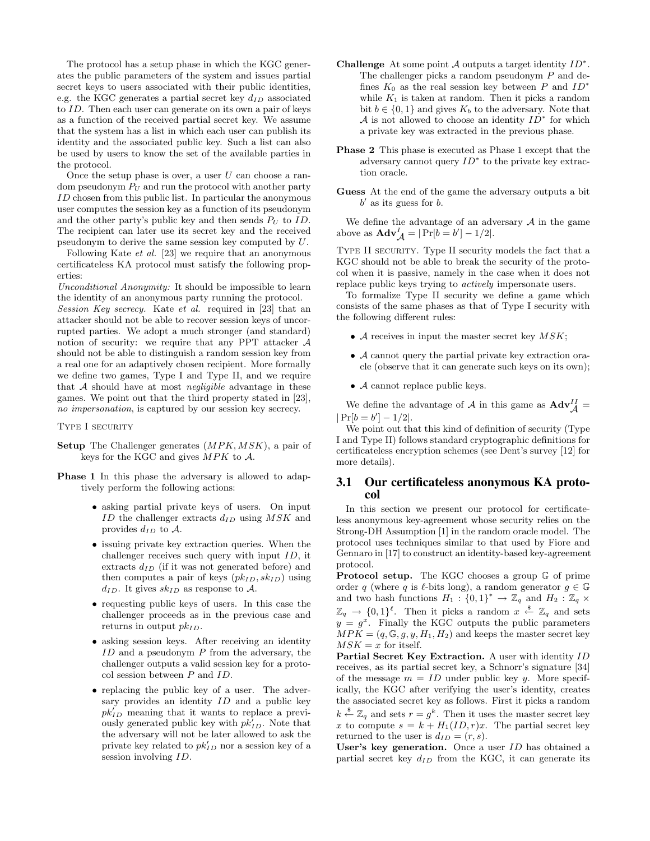The protocol has a setup phase in which the KGC generates the public parameters of the system and issues partial secret keys to users associated with their public identities, e.g. the KGC generates a partial secret key  $d_{ID}$  associated to ID. Then each user can generate on its own a pair of keys as a function of the received partial secret key. We assume that the system has a list in which each user can publish its identity and the associated public key. Such a list can also be used by users to know the set of the available parties in the protocol.

Once the setup phase is over, a user  $U$  can choose a random pseudonym  $P_U$  and run the protocol with another party ID chosen from this public list. In particular the anonymous user computes the session key as a function of its pseudonym and the other party's public key and then sends  $P_U$  to  $ID$ . The recipient can later use its secret key and the received pseudonym to derive the same session key computed by U.

Following Kate et al. [23] we require that an anonymous certificateless KA protocol must satisfy the following properties:

Unconditional Anonymity: It should be impossible to learn the identity of an anonymous party running the protocol. Session Key secrecy. Kate et al. required in [23] that an attacker should not be able to recover session keys of uncorrupted parties. We adopt a much stronger (and standard) notion of security: we require that any PPT attacker A should not be able to distinguish a random session key from a real one for an adaptively chosen recipient. More formally we define two games, Type I and Type II, and we require that  $A$  should have at most *negligible* advantage in these games. We point out that the third property stated in [23], no impersonation, is captured by our session key secrecy.

TYPE I SECURITY

- Setup The Challenger generates  $(MPK, MSK)$ , a pair of keys for the KGC and gives  $MPK$  to  $A$ .
- Phase 1 In this phase the adversary is allowed to adaptively perform the following actions:
	- asking partial private keys of users. On input ID the challenger extracts  $d_{ID}$  using  $MSK$  and provides  $d_{ID}$  to A.
	- issuing private key extraction queries. When the challenger receives such query with input  $ID$ , it extracts  $d_{ID}$  (if it was not generated before) and then computes a pair of keys  $(pk_{ID}, sk_{ID})$  using  $d_{ID}$ . It gives  $sk_{ID}$  as response to A.
	- requesting public keys of users. In this case the challenger proceeds as in the previous case and returns in output  $pk_{ID}$ .
	- asking session keys. After receiving an identity  $ID$  and a pseudonym  $P$  from the adversary, the challenger outputs a valid session key for a protocol session between P and ID.
	- replacing the public key of a user. The adversary provides an identity  $ID$  and a public key  $pk'_{ID}$  meaning that it wants to replace a previously generated public key with  $pk_{ID}^j$ . Note that the adversary will not be later allowed to ask the private key related to  $pk'_{ID}$  nor a session key of a session involving  $ID$ .
- Challenge At some point  $A$  outputs a target identity  $ID^*$ . The challenger picks a random pseudonym P and defines  $K_0$  as the real session key between P and  $ID^*$ while  $K_1$  is taken at random. Then it picks a random bit  $b \in \{0, 1\}$  and gives  $K_b$  to the adversary. Note that A is not allowed to choose an identity  $ID^*$  for which a private key was extracted in the previous phase.
- Phase 2 This phase is executed as Phase 1 except that the adversary cannot query  $ID^*$  to the private key extraction oracle.
- Guess At the end of the game the adversary outputs a bit  $b'$  as its guess for  $b$ .

We define the advantage of an adversary  ${\mathcal A}$  in the game above as  $\mathbf{Adv}_{\mathcal{A}}^{I} = |\Pr[b = b'] - 1/2|.$ 

Type II security. Type II security models the fact that a KGC should not be able to break the security of the protocol when it is passive, namely in the case when it does not replace public keys trying to actively impersonate users.

To formalize Type II security we define a game which consists of the same phases as that of Type I security with the following different rules:

- $\mathcal A$  receives in input the master secret key  $MSK$ ;
- A cannot query the partial private key extraction oracle (observe that it can generate such keys on its own);
- $\bullet$   $\mathcal A$  cannot replace public keys.

We define the advantage of  $\mathcal A$  in this game as  $\mathbf{Adv}_{\mathcal A}^{II} =$  $|Pr[b = b'] - 1/2|.$ 

We point out that this kind of definition of security (Type I and Type II) follows standard cryptographic definitions for certificateless encryption schemes (see Dent's survey [12] for more details).

## 3.1 Our certificateless anonymous KA protocol

In this section we present our protocol for certificateless anonymous key-agreement whose security relies on the Strong-DH Assumption [1] in the random oracle model. The protocol uses techniques similar to that used by Fiore and Gennaro in [17] to construct an identity-based key-agreement protocol.

Protocol setup. The KGC chooses a group G of prime order q (where q is  $\ell$ -bits long), a random generator  $g \in \mathbb{G}$ and two hash functions  $H_1: \{0,1\}^* \to \mathbb{Z}_q$  and  $H_2: \mathbb{Z}_q \times$  $\mathbb{Z}_q \to \{0,1\}^{\ell}$ . Then it picks a random  $x \stackrel{\$}{\leftarrow} \mathbb{Z}_q$  and sets  $y = g^x$ . Finally the KGC outputs the public parameters  $MPK = (q, \mathbb{G}, g, y, H_1, H_2)$  and keeps the master secret key  $MSK = x$  for itself.

Partial Secret Key Extraction. A user with identity ID receives, as its partial secret key, a Schnorr's signature [34] of the message  $m = ID$  under public key y. More specifically, the KGC after verifying the user's identity, creates the associated secret key as follows. First it picks a random  $k \stackrel{\$}{\leftarrow} \mathbb{Z}_q$  and sets  $r = g^k$ . Then it uses the master secret key x to compute  $s = k + H_1(ID, r)x$ . The partial secret key returned to the user is  $d_{ID} = (r, s)$ .

User's key generation. Once a user ID has obtained a partial secret key  $d_{ID}$  from the KGC, it can generate its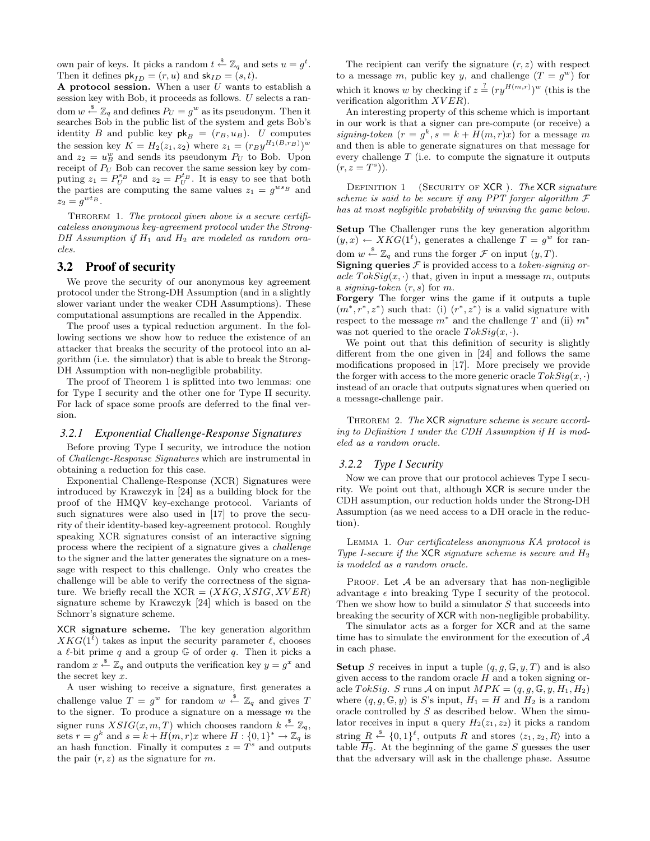own pair of keys. It picks a random  $t \stackrel{\$}{\leftarrow} \mathbb{Z}_q$  and sets  $u = g^t$ . Then it defines  $\mathsf{pk}_{ID} = (r, u)$  and  $\mathsf{sk}_{ID} = (s, t)$ .

A protocol session. When a user  $U$  wants to establish a session key with Bob, it proceeds as follows. U selects a random  $w \stackrel{\$}{\leftarrow} \mathbb{Z}_q$  and defines  $P_U = g^w$  as its pseudonym. Then it searches Bob in the public list of the system and gets Bob's identity B and public key  $\mathsf{pk}_B = (r_B, u_B)$ . U computes the session key  $K = H_2(z_1, z_2)$  where  $z_1 = (r_B y^{H_1(B, r_B)})^w$ and  $z_2 = u_B^w$  and sends its pseudonym  $P_U$  to Bob. Upon receipt of  $P_U$  Bob can recover the same session key by computing  $z_1 = P_U^{s_B}$  and  $z_2 = P_U^{t_B}$ . It is easy to see that both the parties are computing the same values  $z_1 = g^{ws_B}$  and  $z_2 = g^{wt_B}.$ 

THEOREM 1. The protocol given above is a secure certificateless anonymous key-agreement protocol under the Strong-DH Assumption if  $H_1$  and  $H_2$  are modeled as random oracles.

# 3.2 Proof of security

We prove the security of our anonymous key agreement protocol under the Strong-DH Assumption (and in a slightly slower variant under the weaker CDH Assumptions). These computational assumptions are recalled in the Appendix.

The proof uses a typical reduction argument. In the following sections we show how to reduce the existence of an attacker that breaks the security of the protocol into an algorithm (i.e. the simulator) that is able to break the Strong-DH Assumption with non-negligible probability.

The proof of Theorem 1 is splitted into two lemmas: one for Type I security and the other one for Type II security. For lack of space some proofs are deferred to the final version.

#### *3.2.1 Exponential Challenge-Response Signatures*

Before proving Type I security, we introduce the notion of Challenge-Response Signatures which are instrumental in obtaining a reduction for this case.

Exponential Challenge-Response (XCR) Signatures were introduced by Krawczyk in [24] as a building block for the proof of the HMQV key-exchange protocol. Variants of such signatures were also used in [17] to prove the security of their identity-based key-agreement protocol. Roughly speaking XCR signatures consist of an interactive signing process where the recipient of a signature gives a challenge to the signer and the latter generates the signature on a message with respect to this challenge. Only who creates the challenge will be able to verify the correctness of the signature. We briefly recall the  $XCR = (XKG, XSIG, XVER)$ signature scheme by Krawczyk [24] which is based on the Schnorr's signature scheme.

XCR signature scheme. The key generation algorithm  $XKG(1^{\ell})$  takes as input the security parameter  $\ell$ , chooses a  $\ell$ -bit prime q and a group G of order q. Then it picks a random  $x \stackrel{\$}{\leftarrow} \mathbb{Z}_q$  and outputs the verification key  $y = g^x$  and the secret key  $x$ .

A user wishing to receive a signature, first generates a challenge value  $T = g^w$  for random  $w \stackrel{\$}{\leftarrow} \mathbb{Z}_q$  and gives T to the signer. To produce a signature on a message  $m$  the signer runs  $XSIG(x, m, T)$  which chooses random  $k \stackrel{\$}{\leftarrow} \mathbb{Z}_q$ , sets  $r = g^k$  and  $s = k + H(m, r)x$  where  $H: \{0, 1\}^* \to \mathbb{Z}_q$  is an hash function. Finally it computes  $z = T<sup>s</sup>$  and outputs the pair  $(r, z)$  as the signature for m.

The recipient can verify the signature  $(r, z)$  with respect to a message m, public key y, and challenge  $(T = g^w)$  for which it knows w by checking if  $z \stackrel{?}{=} (ry^{H(m,r)})^w$  (this is the verification algorithm  $XVER$ ).

An interesting property of this scheme which is important in our work is that a signer can pre-compute (or receive) a signing-token  $(r = g^k, s = k + H(m, r)x)$  for a message m and then is able to generate signatures on that message for every challenge  $T$  (i.e. to compute the signature it outputs  $(r, z = T<sup>s</sup>)).$ 

DEFINITION 1 (SECURITY OF XCR). The XCR signature scheme is said to be secure if any PPT forger algorithm  $\mathcal F$ has at most negligible probability of winning the game below.

Setup The Challenger runs the key generation algorithm  $(y, x) \leftarrow XKG(1^{\ell})$ , generates a challenge  $T = g^{w}$  for random  $w \stackrel{\$}{\leftarrow} \mathbb{Z}_q$  and runs the forger  $\mathcal F$  on input  $(y, T)$ .

**Signing queries**  $F$  is provided access to a *token-signing or*acle  $TokSig(x, \cdot)$  that, given in input a message m, outputs a signing-token  $(r, s)$  for m.

Forgery The forger wins the game if it outputs a tuple  $(m^*, r^*, z^*)$  such that: (i)  $(r^*, z^*)$  is a valid signature with respect to the message  $m^*$  and the challenge T and (ii)  $m^*$ was not queried to the oracle  $Toksig(x, \cdot)$ .

We point out that this definition of security is slightly different from the one given in [24] and follows the same modifications proposed in [17]. More precisely we provide the forger with access to the more generic oracle  $TokSiq(x,.)$ instead of an oracle that outputs signatures when queried on a message-challenge pair.

THEOREM 2. The XCR signature scheme is secure according to Definition 1 under the CDH Assumption if H is modeled as a random oracle.

#### *3.2.2 Type I Security*

Now we can prove that our protocol achieves Type I security. We point out that, although XCR is secure under the CDH assumption, our reduction holds under the Strong-DH Assumption (as we need access to a DH oracle in the reduction).

Lemma 1. Our certificateless anonymous KA protocol is Type I-secure if the  $XCR$  signature scheme is secure and  $H_2$ is modeled as a random oracle.

PROOF. Let  $A$  be an adversary that has non-negligible advantage  $\epsilon$  into breaking Type I security of the protocol. Then we show how to build a simulator S that succeeds into breaking the security of XCR with non-negligible probability.

The simulator acts as a forger for XCR and at the same time has to simulate the environment for the execution of  $A$ in each phase.

**Setup** S receives in input a tuple  $(q, q, \mathbb{G}, y, T)$  and is also given access to the random oracle  $H$  and a token signing oracle TokSig. S runs A on input  $MPK = (q, g, \mathbb{G}, y, H_1, H_2)$ where  $(q, g, \mathbb{G}, y)$  is S's input,  $H_1 = H$  and  $H_2$  is a random oracle controlled by S as described below. When the simulator receives in input a query  $H_2(z_1, z_2)$  it picks a random string  $R \stackrel{\$}{\leftarrow} \{0,1\}^{\ell}$ , outputs R and stores  $\langle z_1, z_2, R \rangle$  into a table  $\overline{H_2}$ . At the beginning of the game S guesses the user that the adversary will ask in the challenge phase. Assume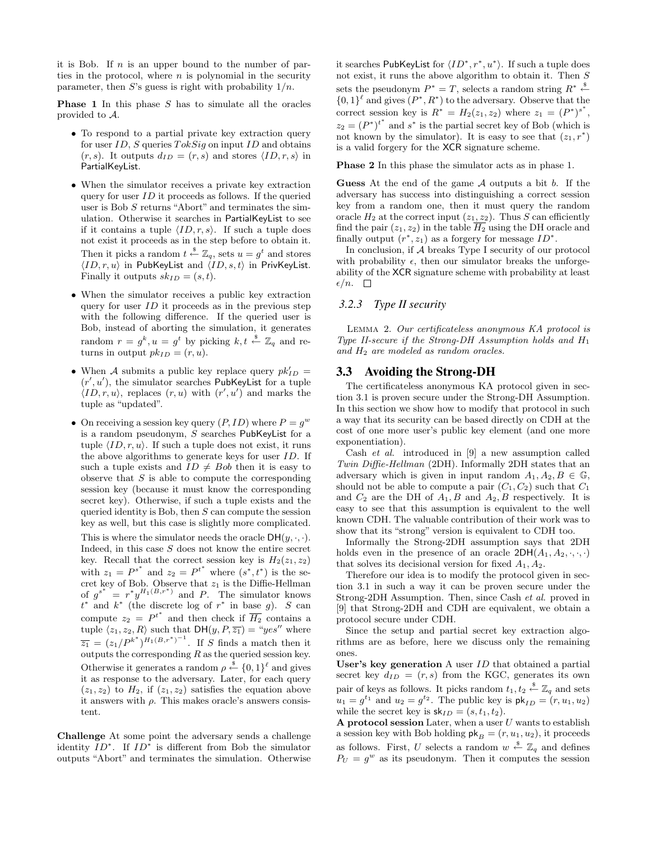it is Bob. If  $n$  is an upper bound to the number of parties in the protocol, where  $n$  is polynomial in the security parameter, then S's guess is right with probability  $1/n$ .

**Phase 1** In this phase  $S$  has to simulate all the oracles provided to A.

- To respond to a partial private key extraction query for user  $ID$ , S queries  $TokSig$  on input  $ID$  and obtains  $(r, s)$ . It outputs  $d_{ID} = (r, s)$  and stores  $\langle ID, r, s \rangle$  in PartialKeyList.
- When the simulator receives a private key extraction query for user ID it proceeds as follows. If the queried user is Bob S returns "Abort" and terminates the simulation. Otherwise it searches in PartialKeyList to see if it contains a tuple  $\langle ID, r, s \rangle$ . If such a tuple does not exist it proceeds as in the step before to obtain it. Then it picks a random  $t \stackrel{\$}{\leftarrow} \mathbb{Z}_q$ , sets  $u = g^t$  and stores  $\langle ID, r, u \rangle$  in PubKeyList and  $\langle ID, s, t \rangle$  in PrivKeyList. Finally it outputs  $sk_{ID} = (s, t)$ .
- When the simulator receives a public key extraction query for user  $ID$  it proceeds as in the previous step with the following difference. If the queried user is Bob, instead of aborting the simulation, it generates random  $r = g^k, u = g^t$  by picking  $k, t \stackrel{\$}{\leftarrow} \mathbb{Z}_q$  and returns in output  $pk_{ID} = (r, u)$ .
- When A submits a public key replace query  $pk'_{ID}$  =  $(r', u')$ , the simulator searches PubKeyList for a tuple  $\langle ID, r, u \rangle$ , replaces  $(r, u)$  with  $(r', u')$  and marks the tuple as "updated".
- On receiving a session key query  $(P, ID)$  where  $P = g^w$ is a random pseudonym, S searches PubKeyList for a tuple  $\langle ID, r, u \rangle$ . If such a tuple does not exist, it runs the above algorithms to generate keys for user ID. If such a tuple exists and  $ID \neq Bob$  then it is easy to observe that  $S$  is able to compute the corresponding session key (because it must know the corresponding secret key). Otherwise, if such a tuple exists and the queried identity is Bob, then  $S$  can compute the session key as well, but this case is slightly more complicated.

This is where the simulator needs the oracle  $DH(y, \cdot, \cdot)$ . Indeed, in this case  $S$  does not know the entire secret key. Recall that the correct session key is  $H_2(z_1, z_2)$ with  $z_1 = P^{s^*}$  and  $z_2 = P^{t^*}$  where  $(s^*, t^*)$  is the secret key of Bob. Observe that  $z_1$  is the Diffie-Hellman of  $g^{s^*} = r^* y^{H_1(B,r^*)}$  and P. The simulator knows  $t^*$  and  $k^*$  (the discrete log of  $r^*$  in base g). S can compute  $z_2 = P^{t^*}$  and then check if  $\overline{H_2}$  contains a tuple  $\langle z_1, z_2, R \rangle$  such that  $DH(y, P, \overline{z_1}) = "yes"$  where  $\overline{z_1} = (z_1/P^{k^*})^{H_1(B,r^*)^{-1}}$ . If S finds a match then it outputs the corresponding  $R$  as the queried session key. Otherwise it generates a random  $\rho \stackrel{\$}{\leftarrow} \{0,1\}^{\ell}$  and gives it as response to the adversary. Later, for each query  $(z_1, z_2)$  to  $H_2$ , if  $(z_1, z_2)$  satisfies the equation above it answers with  $\rho$ . This makes oracle's answers consistent.

Challenge At some point the adversary sends a challenge identity  $ID^*$ . If  $ID^*$  is different from Bob the simulator outputs "Abort" and terminates the simulation. Otherwise

it searches PubKeyList for  $\langle ID^*, r^*, u^* \rangle$ . If such a tuple does not exist, it runs the above algorithm to obtain it. Then S sets the pseudonym  $P^* = T$ , selects a random string  $R^* \stackrel{\$}{\leftarrow}$  $\{0,1\}^{\ell}$  and gives  $(P^*, R^*)$  to the adversary. Observe that the correct session key is  $R^* = H_2(z_1, z_2)$  where  $z_1 = (P^*)^{s^*}$ ,  $z_2 = (P^*)^{t^*}$  and  $s^*$  is the partial secret key of Bob (which is not known by the simulator). It is easy to see that  $(z_1, r^*)$ is a valid forgery for the XCR signature scheme.

Phase 2 In this phase the simulator acts as in phase 1.

**Guess** At the end of the game  $A$  outputs a bit  $b$ . If the adversary has success into distinguishing a correct session key from a random one, then it must query the random oracle  $H_2$  at the correct input  $(z_1, z_2)$ . Thus S can efficiently find the pair  $(z_1, z_2)$  in the table  $\overline{H_2}$  using the DH oracle and finally output  $(r^*, z_1)$  as a forgery for message  $ID^*$ .

In conclusion, if A breaks Type I security of our protocol with probability  $\epsilon$ , then our simulator breaks the unforgeability of the XCR signature scheme with probability at least  $\epsilon/n. \quad \Box$ 

### *3.2.3 Type II security*

Lemma 2. Our certificateless anonymous KA protocol is Type II-secure if the Strong-DH Assumption holds and  $H_1$ and  $H_2$  are modeled as random oracles.

#### 3.3 Avoiding the Strong-DH

The certificateless anonymous KA protocol given in section 3.1 is proven secure under the Strong-DH Assumption. In this section we show how to modify that protocol in such a way that its security can be based directly on CDH at the cost of one more user's public key element (and one more exponentiation).

Cash et al. introduced in [9] a new assumption called Twin Diffie-Hellman (2DH). Informally 2DH states that an adversary which is given in input random  $A_1, A_2, B \in \mathbb{G}$ , should not be able to compute a pair  $(C_1, C_2)$  such that  $C_1$ and  $C_2$  are the DH of  $A_1, B$  and  $A_2, B$  respectively. It is easy to see that this assumption is equivalent to the well known CDH. The valuable contribution of their work was to show that its "strong" version is equivalent to CDH too.

Informally the Strong-2DH assumption says that 2DH holds even in the presence of an oracle  $2DH(A_1, A_2, \cdot, \cdot, \cdot)$ that solves its decisional version for fixed  $A_1, A_2$ .

Therefore our idea is to modify the protocol given in section 3.1 in such a way it can be proven secure under the Strong-2DH Assumption. Then, since Cash et al. proved in [9] that Strong-2DH and CDH are equivalent, we obtain a protocol secure under CDH.

Since the setup and partial secret key extraction algorithms are as before, here we discuss only the remaining ones.

User's key generation A user ID that obtained a partial secret key  $d_{ID} = (r, s)$  from the KGC, generates its own pair of keys as follows. It picks random  $t_1, t_2 \stackrel{\$}{\leftarrow} \mathbb{Z}_q$  and sets  $u_1 = g^{t_1}$  and  $u_2 = g^{t_2}$ . The public key is  $\mathsf{pk}_{ID} = (r, u_1, u_2)$ while the secret key is  $\mathsf{sk}_{ID} = (s, t_1, t_2)$ .

A protocol session Later, when a user  $U$  wants to establish a session key with Bob holding  $\mathsf{pk}_B = (r, u_1, u_2)$ , it proceeds as follows. First, U selects a random  $w \stackrel{\$}{\leftarrow} \mathbb{Z}_q$  and defines  $P_U = g^w$  as its pseudonym. Then it computes the session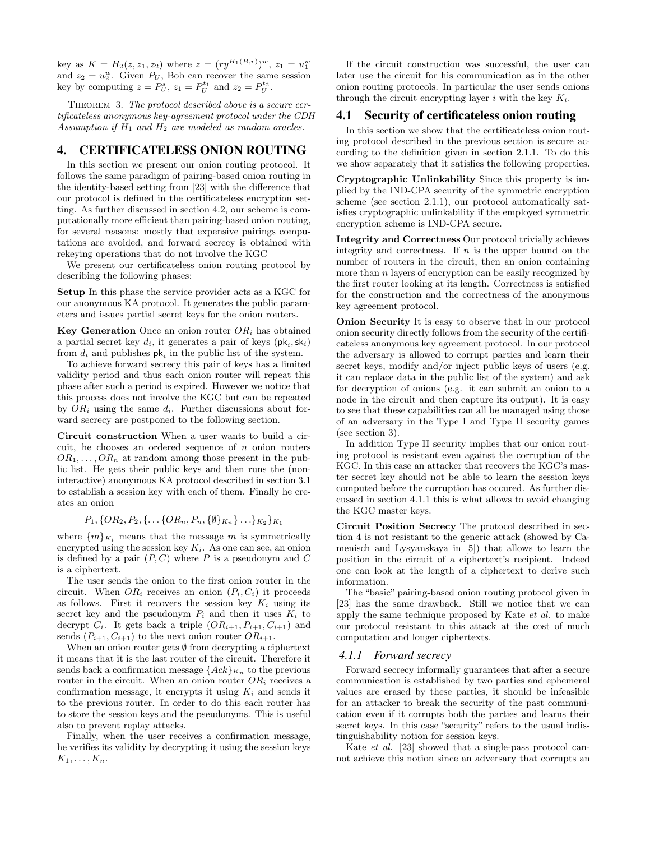key as  $K = H_2(z, z_1, z_2)$  where  $z = (ry^{H_1(B,r)})^w$ ,  $z_1 = u_1^w$ and  $z_2 = u_2^w$ . Given  $P_U$ , Bob can recover the same session key by computing  $z = P_U^s$ ,  $z_1 = P_U^{t_1}$  and  $z_2 = P_U^{t_2}$ .

THEOREM 3. The protocol described above is a secure certificateless anonymous key-agreement protocol under the CDH Assumption if  $H_1$  and  $H_2$  are modeled as random oracles.

# 4. CERTIFICATELESS ONION ROUTING

In this section we present our onion routing protocol. It follows the same paradigm of pairing-based onion routing in the identity-based setting from [23] with the difference that our protocol is defined in the certificateless encryption setting. As further discussed in section 4.2, our scheme is computationally more efficient than pairing-based onion routing, for several reasons: mostly that expensive pairings computations are avoided, and forward secrecy is obtained with rekeying operations that do not involve the KGC

We present our certificateless onion routing protocol by describing the following phases:

Setup In this phase the service provider acts as a KGC for our anonymous KA protocol. It generates the public parameters and issues partial secret keys for the onion routers.

**Key Generation** Once an onion router  $OR<sub>i</sub>$  has obtained a partial secret key  $d_i$ , it generates a pair of keys  $(\mathsf{pk}_i, \mathsf{sk}_i)$ from  $d_i$  and publishes  $\mathsf{pk}_i$  in the public list of the system.

To achieve forward secrecy this pair of keys has a limited validity period and thus each onion router will repeat this phase after such a period is expired. However we notice that this process does not involve the KGC but can be repeated by  $OR_i$  using the same  $d_i$ . Further discussions about forward secrecy are postponed to the following section.

Circuit construction When a user wants to build a circuit, he chooses an ordered sequence of  $n$  onion routers  $OR_1, \ldots, OR_n$  at random among those present in the public list. He gets their public keys and then runs the (noninteractive) anonymous KA protocol described in section 3.1 to establish a session key with each of them. Finally he creates an onion

$$
P_1, \{OR_2, P_2, \{\ldots \{OR_n, P_n, \{\emptyset\}_{K_n}\}\ldots\}_{K_2}\}_{K_1}
$$

where  $\{m\}_{K_i}$  means that the message m is symmetrically encrypted using the session key  $K_i$ . As one can see, an onion is defined by a pair  $(P, C)$  where P is a pseudonym and C is a ciphertext.

The user sends the onion to the first onion router in the circuit. When  $OR_i$  receives an onion  $(P_i, C_i)$  it proceeds as follows. First it recovers the session key  $K_i$  using its secret key and the pseudonym  $P_i$  and then it uses  $K_i$  to decrypt  $C_i$ . It gets back a triple  $(OR_{i+1}, P_{i+1}, C_{i+1})$  and sends  $(P_{i+1}, C_{i+1})$  to the next onion router  $OR_{i+1}$ .

When an onion router gets  $\emptyset$  from decrypting a ciphertext it means that it is the last router of the circuit. Therefore it sends back a confirmation message  ${Ack}_{K_n}$  to the previous router in the circuit. When an onion router  $OR_i$  receives a confirmation message, it encrypts it using  $K_i$  and sends it to the previous router. In order to do this each router has to store the session keys and the pseudonyms. This is useful also to prevent replay attacks.

Finally, when the user receives a confirmation message, he verifies its validity by decrypting it using the session keys  $K_1, \ldots, K_n$ .

If the circuit construction was successful, the user can later use the circuit for his communication as in the other onion routing protocols. In particular the user sends onions through the circuit encrypting layer i with the key  $K_i$ .

### 4.1 Security of certificateless onion routing

In this section we show that the certificateless onion routing protocol described in the previous section is secure according to the definition given in section 2.1.1. To do this we show separately that it satisfies the following properties.

Cryptographic Unlinkability Since this property is implied by the IND-CPA security of the symmetric encryption scheme (see section 2.1.1), our protocol automatically satisfies cryptographic unlinkability if the employed symmetric encryption scheme is IND-CPA secure.

Integrity and Correctness Our protocol trivially achieves integrity and correctness. If  $n$  is the upper bound on the number of routers in the circuit, then an onion containing more than  $n$  layers of encryption can be easily recognized by the first router looking at its length. Correctness is satisfied for the construction and the correctness of the anonymous key agreement protocol.

Onion Security It is easy to observe that in our protocol onion security directly follows from the security of the certificateless anonymous key agreement protocol. In our protocol the adversary is allowed to corrupt parties and learn their secret keys, modify and/or inject public keys of users (e.g. it can replace data in the public list of the system) and ask for decryption of onions (e.g. it can submit an onion to a node in the circuit and then capture its output). It is easy to see that these capabilities can all be managed using those of an adversary in the Type I and Type II security games (see section 3).

In addition Type II security implies that our onion routing protocol is resistant even against the corruption of the KGC. In this case an attacker that recovers the KGC's master secret key should not be able to learn the session keys computed before the corruption has occured. As further discussed in section 4.1.1 this is what allows to avoid changing the KGC master keys.

Circuit Position Secrecy The protocol described in section 4 is not resistant to the generic attack (showed by Camenisch and Lysyanskaya in [5]) that allows to learn the position in the circuit of a ciphertext's recipient. Indeed one can look at the length of a ciphertext to derive such information.

The "basic" pairing-based onion routing protocol given in [23] has the same drawback. Still we notice that we can apply the same technique proposed by Kate et al. to make our protocol resistant to this attack at the cost of much computation and longer ciphertexts.

#### *4.1.1 Forward secrecy*

Forward secrecy informally guarantees that after a secure communication is established by two parties and ephemeral values are erased by these parties, it should be infeasible for an attacker to break the security of the past communication even if it corrupts both the parties and learns their secret keys. In this case "security" refers to the usual indistinguishability notion for session keys.

Kate et al. [23] showed that a single-pass protocol cannot achieve this notion since an adversary that corrupts an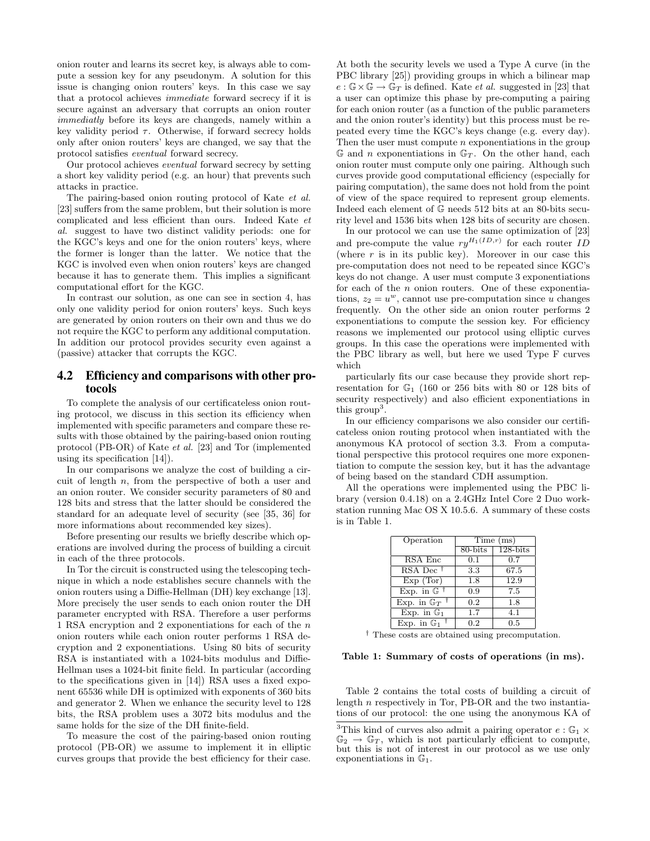onion router and learns its secret key, is always able to compute a session key for any pseudonym. A solution for this issue is changing onion routers' keys. In this case we say that a protocol achieves immediate forward secrecy if it is secure against an adversary that corrupts an onion router immediatly before its keys are changeds, namely within a key validity period  $\tau$ . Otherwise, if forward secrecy holds only after onion routers' keys are changed, we say that the protocol satisfies eventual forward secrecy.

Our protocol achieves eventual forward secrecy by setting a short key validity period (e.g. an hour) that prevents such attacks in practice.

The pairing-based onion routing protocol of Kate et al. [23] suffers from the same problem, but their solution is more complicated and less efficient than ours. Indeed Kate et al. suggest to have two distinct validity periods: one for the KGC's keys and one for the onion routers' keys, where the former is longer than the latter. We notice that the KGC is involved even when onion routers' keys are changed because it has to generate them. This implies a significant computational effort for the KGC.

In contrast our solution, as one can see in section 4, has only one validity period for onion routers' keys. Such keys are generated by onion routers on their own and thus we do not require the KGC to perform any additional computation. In addition our protocol provides security even against a (passive) attacker that corrupts the KGC.

# 4.2 Efficiency and comparisons with other protocols

To complete the analysis of our certificateless onion routing protocol, we discuss in this section its efficiency when implemented with specific parameters and compare these results with those obtained by the pairing-based onion routing protocol (PB-OR) of Kate et al. [23] and Tor (implemented using its specification [14]).

In our comparisons we analyze the cost of building a circuit of length n, from the perspective of both a user and an onion router. We consider security parameters of 80 and 128 bits and stress that the latter should be considered the standard for an adequate level of security (see [35, 36] for more informations about recommended key sizes).

Before presenting our results we briefly describe which operations are involved during the process of building a circuit in each of the three protocols.

In Tor the circuit is constructed using the telescoping technique in which a node establishes secure channels with the onion routers using a Diffie-Hellman (DH) key exchange [13]. More precisely the user sends to each onion router the DH parameter encrypted with RSA. Therefore a user performs 1 RSA encryption and 2 exponentiations for each of the n onion routers while each onion router performs 1 RSA decryption and 2 exponentiations. Using 80 bits of security RSA is instantiated with a 1024-bits modulus and Diffie-Hellman uses a 1024-bit finite field. In particular (according to the specifications given in [14]) RSA uses a fixed exponent 65536 while DH is optimized with exponents of 360 bits and generator 2. When we enhance the security level to 128 bits, the RSA problem uses a 3072 bits modulus and the same holds for the size of the DH finite-field.

To measure the cost of the pairing-based onion routing protocol (PB-OR) we assume to implement it in elliptic curves groups that provide the best efficiency for their case.

At both the security levels we used a Type A curve (in the PBC library [25]) providing groups in which a bilinear map  $e : \mathbb{G} \times \mathbb{G} \to \mathbb{G}_T$  is defined. Kate *et al.* suggested in [23] that a user can optimize this phase by pre-computing a pairing for each onion router (as a function of the public parameters and the onion router's identity) but this process must be repeated every time the KGC's keys change (e.g. every day). Then the user must compute  $n$  exponentiations in the group  $\mathbb{G}$  and *n* exponentiations in  $\mathbb{G}_T$ . On the other hand, each onion router must compute only one pairing. Although such curves provide good computational efficiency (especially for pairing computation), the same does not hold from the point of view of the space required to represent group elements. Indeed each element of  $\mathbb{G}% _{+}^{2}$  needs 512 bits at an 80-bits security level and 1536 bits when 128 bits of security are chosen.

In our protocol we can use the same optimization of [23] and pre-compute the value  $ry^{H_1(ID,r)}$  for each router ID (where  $r$  is in its public key). Moreover in our case this pre-computation does not need to be repeated since KGC's keys do not change. A user must compute 3 exponentiations for each of the *n* onion routers. One of these exponentiations,  $z_2 = u^w$ , cannot use pre-computation since u changes frequently. On the other side an onion router performs 2 exponentiations to compute the session key. For efficiency reasons we implemented our protocol using elliptic curves groups. In this case the operations were implemented with the PBC library as well, but here we used Type F curves which

particularly fits our case because they provide short representation for  $\mathbb{G}_1$  (160 or 256 bits with 80 or 128 bits of security respectively) and also efficient exponentiations in this  $\mathrm{group}^3$ .

In our efficiency comparisons we also consider our certificateless onion routing protocol when instantiated with the anonymous KA protocol of section 3.3. From a computational perspective this protocol requires one more exponentiation to compute the session key, but it has the advantage of being based on the standard CDH assumption.

All the operations were implemented using the PBC library (version 0.4.18) on a 2.4GHz Intel Core 2 Duo workstation running Mac OS X 10.5.6. A summary of these costs is in Table 1.

| Operation                           | Time (ms)   |              |
|-------------------------------------|-------------|--------------|
|                                     | $80 - bits$ | $128 - bits$ |
| RSA Enc                             | 0.1         | 0.7          |
| $RSA$ Dec <sup>†</sup>              | 3.3         | 67.5         |
| Exp(Tor)                            | 1.8         | 12.9         |
| Exp. in $\mathbb{G}$ <sup>†</sup>   | 0.9         | 7.5          |
| Exp. in $\mathbb{G}_T$ <sup>1</sup> | 0.2         | 1.8          |
| Exp. in $\mathbb{G}_1$              | 1.7         | 4.1          |
| Exp. in $\mathbb{G}_1$              | 0.2         | 0.5          |

† These costs are obtained using precomputation.

#### Table 1: Summary of costs of operations (in ms).

Table 2 contains the total costs of building a circuit of length n respectively in Tor, PB-OR and the two instantiations of our protocol: the one using the anonymous KA of

 $^3 \text{This kind}$  of curves also admit a pairing operator  $e : \mathbb{G}_1 \times$  $\mathbb{G}_2 \to \mathbb{G}_T$ , which is not particularly efficient to compute, but this is not of interest in our protocol as we use only exponentiations in G1.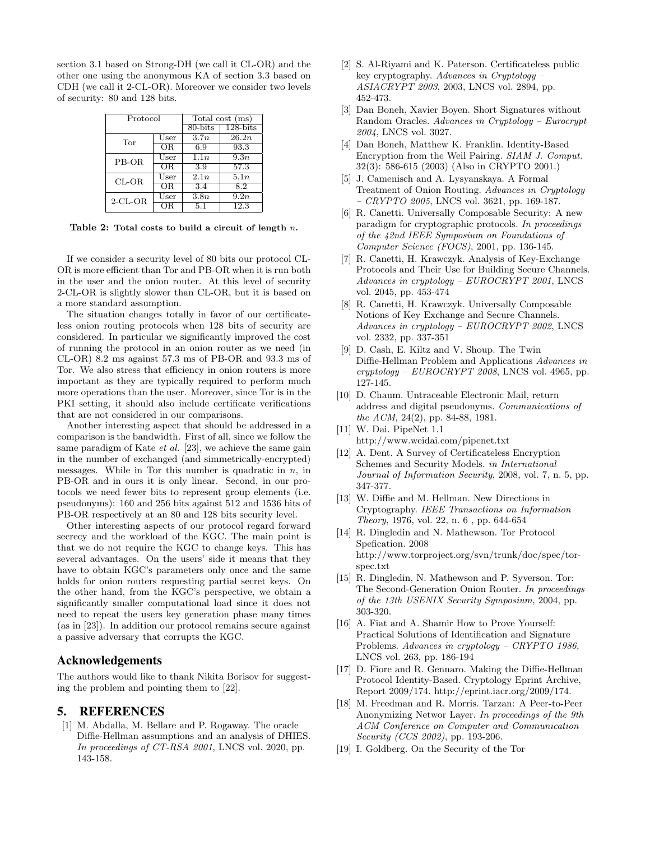section 3.1 based on Strong-DH (we call it CL-OR) and the other one using the anonymous KA of section 3.3 based on CDH (we call it 2-CL-OR). Moreover we consider two levels of security: 80 and 128 bits.

| Protocol   |               | Total cost (ms) |              |
|------------|---------------|-----------------|--------------|
|            |               | $80 - bits$     | $128 - bits$ |
| Tor        | $_{\rm User}$ | 3.7n            | 26.2n        |
|            | ŌR            | 6.9             | 93.3         |
| PB-OR      | $_{\rm User}$ | 1.1n            | 9.3n         |
|            | ΟR            | 3.9             | 57.3         |
| $CL-OR$    | $_{\rm User}$ | 2.1n            | 5.1n         |
|            | OR.           | 3.4             | 8.2          |
| $2$ -CL-OR | $_{\rm User}$ | 3.8n            | 9.2n         |
|            |               | 5.1             | 12.3         |

Table 2: Total costs to build a circuit of length  $n$ .

If we consider a security level of 80 bits our protocol CL-OR is more efficient than Tor and PB-OR when it is run both in the user and the onion router. At this level of security 2-CL-OR is slightly slower than CL-OR, but it is based on a more standard assumption.

The situation changes totally in favor of our certificateless onion routing protocols when 128 bits of security are considered. In particular we significantly improved the cost of running the protocol in an onion router as we need (in CL-OR) 8.2 ms against 57.3 ms of PB-OR and 93.3 ms of Tor. We also stress that efficiency in onion routers is more important as they are typically required to perform much more operations than the user. Moreover, since Tor is in the PKI setting, it should also include certificate verifications that are not considered in our comparisons.

Another interesting aspect that should be addressed in a comparison is the bandwidth. First of all, since we follow the same paradigm of Kate et al. [23], we achieve the same gain in the number of exchanged (and simmetrically-encrypted) messages. While in Tor this number is quadratic in  $n$ , in PB-OR and in ours it is only linear. Second, in our protocols we need fewer bits to represent group elements (i.e. pseudonyms): 160 and 256 bits against 512 and 1536 bits of PB-OR respectively at an 80 and 128 bits security level.

Other interesting aspects of our protocol regard forward secrecy and the workload of the KGC. The main point is that we do not require the KGC to change keys. This has several advantages. On the users' side it means that they have to obtain KGC's parameters only once and the same holds for onion routers requesting partial secret keys. On the other hand, from the KGC's perspective, we obtain a significantly smaller computational load since it does not need to repeat the users key generation phase many times (as in [23]). In addition our protocol remains secure against a passive adversary that corrupts the KGC.

# Acknowledgements

The authors would like to thank Nikita Borisov for suggesting the problem and pointing them to [22].

## 5. REFERENCES

[1] M. Abdalla, M. Bellare and P. Rogaway. The oracle Diffie-Hellman assumptions and an analysis of DHIES. In proceedings of CT-RSA 2001, LNCS vol. 2020, pp. 143-158.

- [2] S. Al-Riyami and K. Paterson. Certificateless public key cryptography. Advances in Cryptology – ASIACRYPT 2003, 2003, LNCS vol. 2894, pp. 452-473.
- [3] Dan Boneh, Xavier Boyen. Short Signatures without Random Oracles. Advances in Cryptology – Eurocrypt 2004, LNCS vol. 3027.
- [4] Dan Boneh, Matthew K. Franklin. Identity-Based Encryption from the Weil Pairing. SIAM J. Comput. 32(3): 586-615 (2003) (Also in CRYPTO 2001.)
- [5] J. Camenisch and A. Lysyanskaya. A Formal Treatment of Onion Routing. Advances in Cryptology  $-$  CRYPTO 2005, LNCS vol. 3621, pp. 169-187.
- [6] R. Canetti. Universally Composable Security: A new paradigm for cryptographic protocols. In proceedings of the 42nd IEEE Symposium on Foundations of Computer Science (FOCS), 2001, pp. 136-145.
- [7] R. Canetti, H. Krawczyk. Analysis of Key-Exchange Protocols and Their Use for Building Secure Channels. Advances in cryptology – EUROCRYPT 2001, LNCS vol. 2045, pp. 453-474
- [8] R. Canetti, H. Krawczyk. Universally Composable Notions of Key Exchange and Secure Channels. Advances in cryptology – EUROCRYPT 2002, LNCS vol. 2332, pp. 337-351
- [9] D. Cash, E. Kiltz and V. Shoup. The Twin Diffie-Hellman Problem and Applications Advances in  $cryptology - EUROCRYPT 2008$ , LNCS vol. 4965, pp. 127-145.
- [10] D. Chaum. Untraceable Electronic Mail, return address and digital pseudonyms. Communications of the ACM, 24(2), pp. 84-88, 1981.
- [11] W. Dai. PipeNet 1.1 http://www.weidai.com/pipenet.txt
- [12] A. Dent. A Survey of Certificateless Encryption Schemes and Security Models. in International Journal of Information Security, 2008, vol. 7, n. 5, pp. 347-377.
- [13] W. Diffie and M. Hellman. New Directions in Cryptography. IEEE Transactions on Information Theory, 1976, vol. 22, n. 6 , pp. 644-654
- [14] R. Dingledin and N. Mathewson. Tor Protocol Spefication. 2008 http://www.torproject.org/svn/trunk/doc/spec/torspec.txt
- [15] R. Dingledin, N. Mathewson and P. Syverson. Tor: The Second-Generation Onion Router. In proceedings of the 13th USENIX Security Symposium, 2004, pp. 303-320.
- [16] A. Fiat and A. Shamir How to Prove Yourself: Practical Solutions of Identification and Signature Problems. Advances in cryptology – CRYPTO 1986, LNCS vol. 263, pp. 186-194
- [17] D. Fiore and R. Gennaro. Making the Diffie-Hellman Protocol Identity-Based. Cryptology Eprint Archive, Report 2009/174. http://eprint.iacr.org/2009/174.
- [18] M. Freedman and R. Morris. Tarzan: A Peer-to-Peer Anonymizing Networ Layer. In proceedings of the 9th ACM Conference on Computer and Communication Security (CCS 2002), pp. 193-206.
- [19] I. Goldberg. On the Security of the Tor